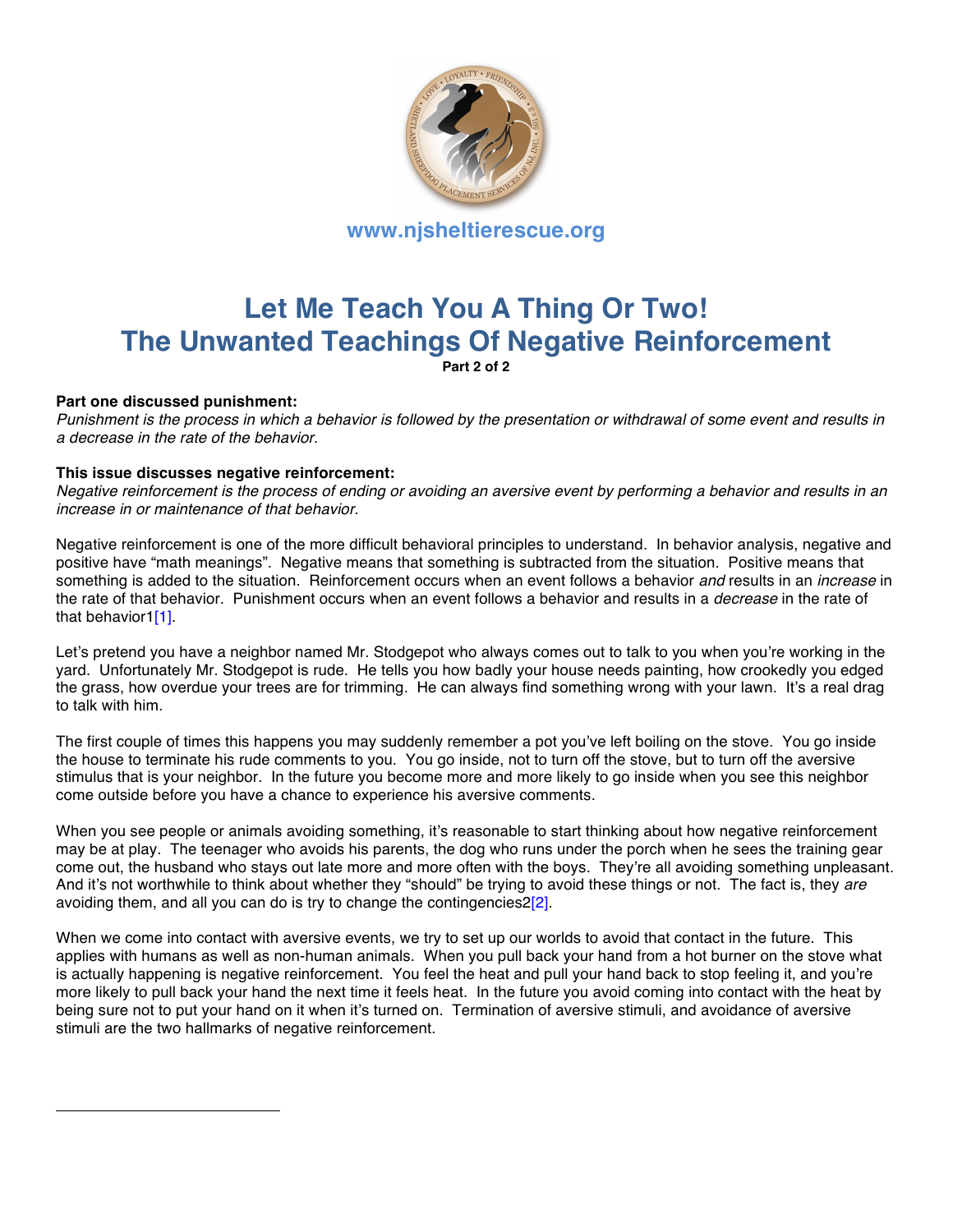

## **Let Me Teach You A Thing Or Two! The Unwanted Teachings Of Negative Reinforcement Part 2 of 2**

## **Part one discussed punishment:**

*Punishment is the process in which a behavior is followed by the presentation or withdrawal of some event and results in a decrease in the rate of the behavior.*

## **This issue discusses negative reinforcement:**

*Negative reinforcement is the process of ending or avoiding an aversive event by performing a behavior and results in an increase in or maintenance of that behavior.* 

Negative reinforcement is one of the more difficult behavioral principles to understand. In behavior analysis, negative and positive have "math meanings". Negative means that something is subtracted from the situation. Positive means that something is added to the situation. Reinforcement occurs when an event follows a behavior *and* results in an *increase* in the rate of that behavior. Punishment occurs when an event follows a behavior and results in a *decrease* in the rate of that behavior1[1].

Let's pretend you have a neighbor named Mr. Stodgepot who always comes out to talk to you when you're working in the yard. Unfortunately Mr. Stodgepot is rude. He tells you how badly your house needs painting, how crookedly you edged the grass, how overdue your trees are for trimming. He can always find something wrong with your lawn. It's a real drag to talk with him.

The first couple of times this happens you may suddenly remember a pot you've left boiling on the stove. You go inside the house to terminate his rude comments to you. You go inside, not to turn off the stove, but to turn off the aversive stimulus that is your neighbor. In the future you become more and more likely to go inside when you see this neighbor come outside before you have a chance to experience his aversive comments.

When you see people or animals avoiding something, it's reasonable to start thinking about how negative reinforcement may be at play. The teenager who avoids his parents, the dog who runs under the porch when he sees the training gear come out, the husband who stays out late more and more often with the boys. They're all avoiding something unpleasant. And it's not worthwhile to think about whether they "should" be trying to avoid these things or not. The fact is, they *are* avoiding them, and all you can do is try to change the contingencies  $2[2]$ .

When we come into contact with aversive events, we try to set up our worlds to avoid that contact in the future. This applies with humans as well as non-human animals. When you pull back your hand from a hot burner on the stove what is actually happening is negative reinforcement. You feel the heat and pull your hand back to stop feeling it, and you're more likely to pull back your hand the next time it feels heat. In the future you avoid coming into contact with the heat by being sure not to put your hand on it when it's turned on. Termination of aversive stimuli, and avoidance of aversive stimuli are the two hallmarks of negative reinforcement.